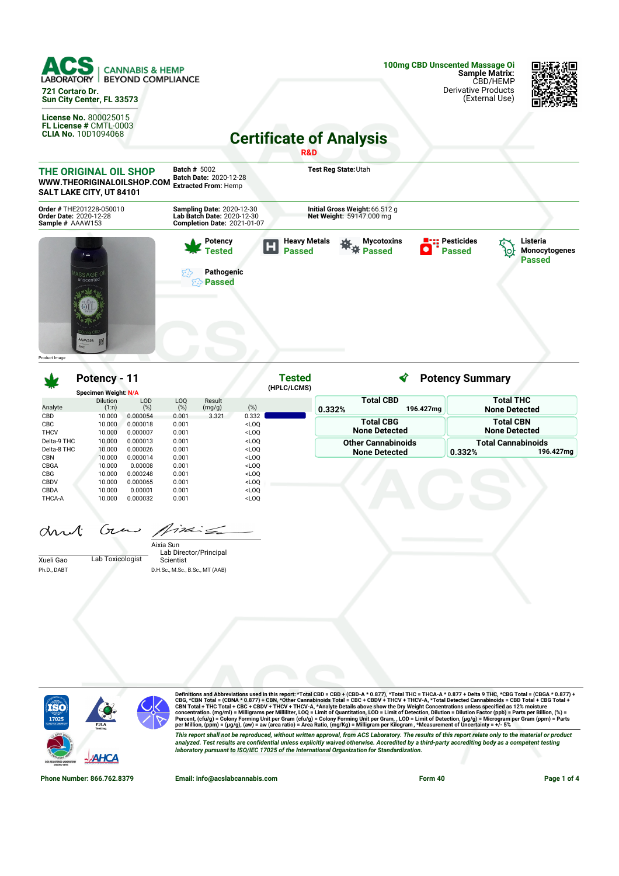



| w           | Potency - 11             |                   |            | Tested           |                                                                                                          |             | <b>Potency Summary</b> |                               |        |                                          |  |
|-------------|--------------------------|-------------------|------------|------------------|----------------------------------------------------------------------------------------------------------|-------------|------------------------|-------------------------------|--------|------------------------------------------|--|
|             | Specimen Weight: N/A     |                   |            |                  |                                                                                                          | (HPLC/LCMS) |                        |                               |        |                                          |  |
| Analyte     | <b>Dilution</b><br>(1:n) | <b>LOD</b><br>(%) | LOQ<br>(%) | Result<br>(mg/g) | (%)                                                                                                      |             | 0.332%                 | <b>Total CBD</b><br>196.427mg |        | <b>Total THC</b><br><b>None Detected</b> |  |
| CBD         | 10.000                   | 0.000054          | 0.001      | 3.321            | 0.332                                                                                                    |             |                        |                               |        |                                          |  |
| <b>CBC</b>  | 10.000                   | 0.000018          | 0.001      |                  | <loq< td=""><td></td><td></td><td><b>Total CBG</b></td><td></td><td><b>Total CBN</b></td></loq<>         |             |                        | <b>Total CBG</b>              |        | <b>Total CBN</b>                         |  |
| <b>THCV</b> | 10.000                   | 0.000007          | 0.001      |                  | <loq< td=""><td></td><td></td><td><b>None Detected</b></td><td></td><td><b>None Detected</b></td></loq<> |             |                        | <b>None Detected</b>          |        | <b>None Detected</b>                     |  |
| Delta-9 THC | 10,000                   | 0.000013          | 0.001      |                  | $<$ LOO                                                                                                  |             |                        | <b>Other Cannabinoids</b>     |        | <b>Total Cannabinoids</b>                |  |
| Delta-8 THC | 10.000                   | 0.000026          | 0.001      |                  | <loq< td=""><td></td><td></td><td><b>None Detected</b></td><td>0.332%</td><td>196.427mg</td></loq<>      |             |                        | <b>None Detected</b>          | 0.332% | 196.427mg                                |  |
| <b>CBN</b>  | 10.000                   | 0.000014          | 0.001      |                  | <loq< td=""><td></td><td></td><td></td><td></td><td></td></loq<>                                         |             |                        |                               |        |                                          |  |
| CBGA        | 10.000                   | 0.00008           | 0.001      |                  | <loq< td=""><td></td><td></td><td></td><td></td><td></td></loq<>                                         |             |                        |                               |        |                                          |  |
| <b>CBG</b>  | 10.000                   | 0.000248          | 0.001      |                  | $<$ LOO                                                                                                  |             |                        |                               |        |                                          |  |
| CBDV        | 10.000                   | 0.000065          | 0.001      |                  | <loq< td=""><td></td><td></td><td></td><td></td><td></td></loq<>                                         |             |                        |                               |        |                                          |  |
| CBDA        | 10.000                   | 0.00001           | 0.001      |                  | <loq< td=""><td></td><td></td><td></td><td></td><td></td></loq<>                                         |             |                        |                               |        |                                          |  |
| THCA-A      | 10.000                   | 0.000032          | 0.001      |                  | <loq< td=""><td></td><td></td><td></td><td></td><td></td></loq<>                                         |             |                        |                               |        |                                          |  |

and Gras Aixing

|             |                  | Aixia Sun                       |
|-------------|------------------|---------------------------------|
|             |                  | Lab Director/Principal          |
| Xueli Gao   | Lab Toxicologist | Scientist                       |
| Ph.D., DABT |                  | D.H.Sc., M.Sc., B.Sc., MT (AAB) |



Definitions and Abbreviations used in this report: \*Total CBD = CBD + (CBD-A \* 0.877), \*Total THC = THCA-A \* 0.877 + Delta 9 THC, \*CBG Total = (CBGA \* 0.877) +<br>CBG, \*CBN Total = (CBNA \* 0.877) + CBN, \*Other Cannabinois To This report shall not be reproduced, without written approval, from ACS Laboratory. The results of this report relate only to the material or product<br>analyzed. Test results are confidential unless explicitly waived otherwi *laboratory pursuant to ISO/IEC 17025 of the International Organization for Standardization.*

**Phone Number: 866.762.8379 Email: info@acslabcannabis.com Form 40 Page 1 of 4**

杀阳

П÷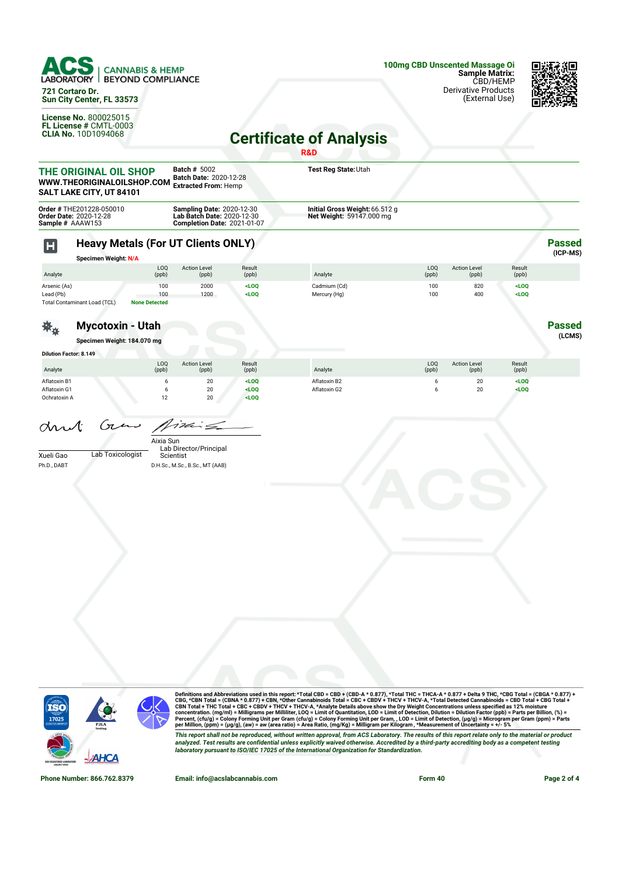

**721 Cortaro Dr. Sun City Center, FL 33573**

**License No.** 800025015 **FL License #** CMTL-0003 **CLIA No.** 10D1094068



## **Certificate of Analysis**

|                                                                                                                                                                                 |                                                                                 |                                    |                                                                              |                                       | R&D                                                        |              |                              |                    |                             |
|---------------------------------------------------------------------------------------------------------------------------------------------------------------------------------|---------------------------------------------------------------------------------|------------------------------------|------------------------------------------------------------------------------|---------------------------------------|------------------------------------------------------------|--------------|------------------------------|--------------------|-----------------------------|
|                                                                                                                                                                                 | THE ORIGINAL OIL SHOP<br>WWW.THEORIGINALOILSHOP.COM<br>SALT LAKE CITY, UT 84101 |                                    | <b>Batch # 5002</b><br>Batch Date: 2020-12-28<br><b>Extracted From: Hemp</b> |                                       | Test Reg State: Utah                                       |              |                              |                    |                             |
| Order # THE201228-050010<br><b>Sampling Date: 2020-12-30<br/>Lab Batch Date: 2020-12-30</b><br>Order Date: 2020-12-28<br>Sample # AAAW153<br><b>Completion Date: 2021-01-07</b> |                                                                                 |                                    |                                                                              |                                       | Initial Gross Weight: 66.512 g<br>Net Weight: 59147.000 mg |              |                              |                    |                             |
| $\mathsf H$                                                                                                                                                                     | <b>Heavy Metals (For UT Clients ONLY)</b><br><b>Specimen Weight: N/A</b>        |                                    |                                                                              |                                       |                                                            |              |                              |                    | <b>Passed</b><br>$(ICP-MS)$ |
| Analyte                                                                                                                                                                         |                                                                                 | LOQ<br>(ppb)                       | <b>Action Level</b><br>(ppb)                                                 | Result<br>(ppb)                       | Analyte                                                    | LOQ<br>(ppb) | <b>Action Level</b><br>(ppb) | Result<br>(ppb)    |                             |
| Arsenic (As)<br>Lead (Pb)                                                                                                                                                       | Total Contaminant Load (TCL)                                                    | 100<br>100<br><b>None Detected</b> | 2000<br>1200                                                                 | <loq<br><math>&lt;</math>LOQ</loq<br> | Cadmium (Cd)<br>Mercury (Hg)                               | 100<br>100   | 820<br>400                   | $<$ LOQ<br>$<$ LOQ |                             |
|                                                                                                                                                                                 | <b>Mycotoxin - Utah</b><br>Specimen Weight: 184.070 mg                          |                                    |                                                                              |                                       |                                                            |              |                              |                    | <b>Passed</b><br>(LCMS)     |
| <b>Dilution Factor: 8.149</b>                                                                                                                                                   |                                                                                 |                                    |                                                                              |                                       |                                                            |              |                              |                    |                             |
| Analyte                                                                                                                                                                         |                                                                                 | LOQ<br>(ppb)                       | <b>Action Level</b><br>(ppb)                                                 | Result<br>(ppb)                       | Analyte                                                    | LOQ<br>(ppb) | <b>Action Level</b><br>(ppb) | Result<br>(ppb)    |                             |
| Aflatoxin B1<br>Aflatoxin G1<br>Ochratoxin A                                                                                                                                    |                                                                                 | 6<br>6<br>12                       | 20<br>20<br>20                                                               | LOO<br><loq<br>LOO</loq<br>           | Aflatoxin B2<br>Aflatoxin G2                               | 6<br>6       | 20<br>20                     | $<$ LOQ<br>$<$ LOQ |                             |
| drut<br>Xueli Gao<br>Ph.D., DABT                                                                                                                                                | Gun<br>Lab Toxicologist                                                         | Aixia Sun<br>Scientist             | $i$ din Sa<br>Lab Director/Principal<br>D.H.Sc., M.Sc., B.Sc., MT (AAB)      |                                       |                                                            |              |                              |                    |                             |
|                                                                                                                                                                                 |                                                                                 |                                    |                                                                              |                                       |                                                            |              |                              |                    |                             |



Definitions and Abbreviations used in this report: \*Total CBD = CBD + (CBD-A \* 0.877), \*Total THC = THCA-A \* 0.877 + Delta 9 THC, \*CBG Total = (CBGA \* 0.877) +<br>CBG, \*CBN Total = (CBNA \* 0.877) + CBN, \*Other Cannabinois To This report shall not be reproduced, without written approval, from ACS Laboratory. The results of this report relate only to the material or product<br>analyzed. Test results are confidential unless explicitly waived otherwi

**Phone Number: 866.762.8379 Email: info@acslabcannabis.com Form 40 Page 2 of 4**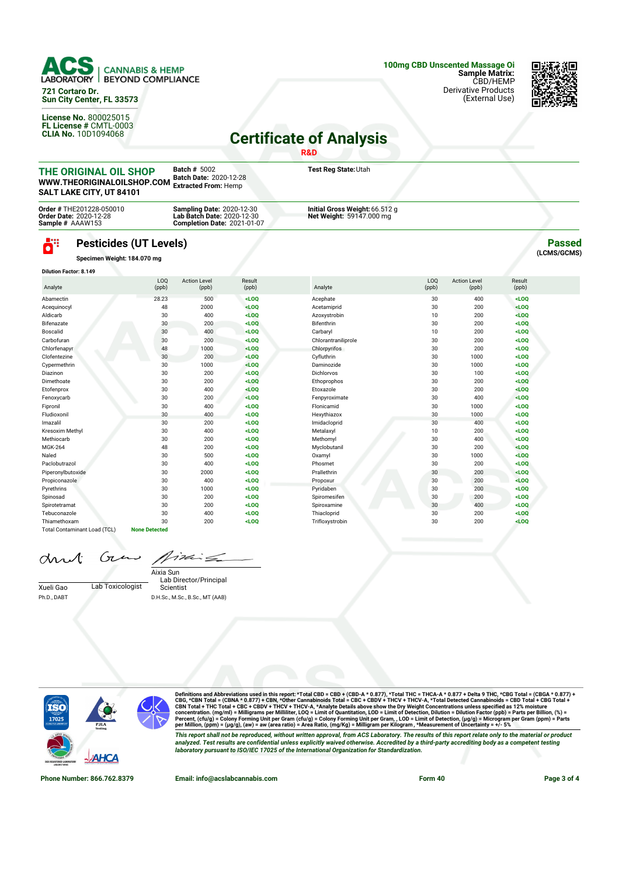

**721 Cortaro Dr. Sun City Center, FL 33573**

**License No.** 800025015 **FL License #** CMTL-0003 **CLIA No.** 10D1094068



## **Certificate of Analysis**

|                                                                                                                                                                                                                                                                                                                                                          |                               |              |                              |                 | <b>R&amp;D</b>                                             |              |                              |                 |               |
|----------------------------------------------------------------------------------------------------------------------------------------------------------------------------------------------------------------------------------------------------------------------------------------------------------------------------------------------------------|-------------------------------|--------------|------------------------------|-----------------|------------------------------------------------------------|--------------|------------------------------|-----------------|---------------|
| <b>Batch # 5002</b><br>THE ORIGINAL OIL SHOP<br>Batch Date: 2020-12-28<br>WWW.THEORIGINALOILSHOP.COM<br><b>Extracted From: Hemp</b><br>SALT LAKE CITY, UT 84101<br>Order # THE201228-050010<br><b>Sampling Date: 2020-12-30</b><br>Lab Batch Date: 2020-12-30<br><b>Order Date: 2020-12-28</b><br>Sample # AAAW153<br><b>Completion Date: 2021-01-07</b> |                               |              |                              |                 | Test Reg State: Utah                                       |              |                              |                 |               |
|                                                                                                                                                                                                                                                                                                                                                          |                               |              |                              |                 | Initial Gross Weight: 66.512 g<br>Net Weight: 59147.000 mg |              |                              |                 |               |
| ö"                                                                                                                                                                                                                                                                                                                                                       | <b>Pesticides (UT Levels)</b> |              |                              |                 |                                                            |              |                              |                 | <b>Passed</b> |
|                                                                                                                                                                                                                                                                                                                                                          | Specimen Weight: 184.070 mg   |              |                              |                 |                                                            |              |                              |                 | (LCMS/GCMS)   |
|                                                                                                                                                                                                                                                                                                                                                          | <b>Dilution Factor: 8.149</b> |              |                              |                 |                                                            |              |                              |                 |               |
| Analyte                                                                                                                                                                                                                                                                                                                                                  |                               | LOQ<br>(ppb) | <b>Action Level</b><br>(ppb) | Result<br>(ppb) | Analyte                                                    | LOQ<br>(ppb) | <b>Action Level</b><br>(ppb) | Result<br>(ppb) |               |
| Abamectin                                                                                                                                                                                                                                                                                                                                                | 28.23                         |              | 500                          | $<$ LOO         | Acephate                                                   | 30           | 400                          | $<$ LOO         |               |
| Acequinocyl                                                                                                                                                                                                                                                                                                                                              |                               | 48           | 2000                         | $<$ LOO         | Acetamiprid                                                | 30           | 200                          | $<$ LOO         |               |
| Aldicarb                                                                                                                                                                                                                                                                                                                                                 |                               | 30           | 400                          | $<$ LOO         | Azoxystrobin                                               | 10           | 200                          | $<$ LOO         |               |
| Bifenazate                                                                                                                                                                                                                                                                                                                                               |                               | 30           | 200                          | $<$ LOO         | Bifenthrin                                                 | 30           | 200                          | $<$ LOO         |               |
| Boscalid                                                                                                                                                                                                                                                                                                                                                 |                               | 30           | 400                          | $<$ LOQ         | Carbaryl                                                   | 10           | 200                          | $<$ LOQ         |               |
| Carbofuran                                                                                                                                                                                                                                                                                                                                               |                               | 30           | 200                          | $<$ LOQ         | Chlorantraniliprole                                        | 30           | 200                          | $<$ LOQ         |               |
| Chlorfenapyr                                                                                                                                                                                                                                                                                                                                             |                               | 48           | 1000                         | $<$ LOQ         | Chlorpyrifos                                               | 30           | 200                          | $<$ LOQ         |               |
| Clofentezine                                                                                                                                                                                                                                                                                                                                             |                               | 30           | 200                          | $<$ LOQ         | Cyfluthrin                                                 | 30           | 1000                         | $<$ LOO         |               |
| Cypermethrin                                                                                                                                                                                                                                                                                                                                             |                               | 30           | 1000                         | $<$ LOO         | Daminozide                                                 | 30           | 1000                         | $<$ LOQ         |               |
| Diazinon                                                                                                                                                                                                                                                                                                                                                 |                               | 30           | 200                          | $<$ LOQ         | <b>Dichlorvos</b>                                          | 30           | 100                          | $<$ LOO         |               |
| Dimethoate                                                                                                                                                                                                                                                                                                                                               |                               | 30           | 200                          | $<$ LOQ         | Ethoprophos                                                | 30           | 200                          | $<$ LOQ         |               |
| Etofenprox                                                                                                                                                                                                                                                                                                                                               |                               | 30           | 400                          | $<$ LOO         | Etoxazole                                                  | 30           | 200                          | $<$ LOO         |               |
| Fenoxycarb                                                                                                                                                                                                                                                                                                                                               |                               | 30           | 200                          | $<$ LOO         | Fenpyroximate                                              | 30           | 400                          | $<$ LOO         |               |

Fipronil 30 400 **<LOQ** Flonicamid 30 1000 **<LOQ** Fludioxonil 30 400 **<LOQ** Hexythiazox 30 1000 **<LOQ** Imazalil 30 200 **<LOQ** Imidacloprid 30 400 **<LOQ** Kresoxim Methyl 30 400 **<LOQ** Metalaxyl 10 200 **<LOQ** Methiocarb 30 200 **<LOQ** Methomyl 30 400 **<LOQ** MGK-264 48 200 **<LOQ** Myclobutanil 30 200 **<LOQ** Naled 30 500 **<LOQ** Oxamyl 30 1000 **<LOQ** Paclobutrazol 30 400 **<LOQ** Phosmet 30 200 **<LOQ** Piperonylbutoxide 30 2000 **<LOQ** Prallethrin 30 200 **<LOQ** Propiconazole 30 400 **<LOQ** Propoxur 30 200 **<LOQ** Pyrethrins 30 1000 **<LOQ** Pyridaben 30 200 **<LOQ** Spinosad 30 200 **<LOQ** Spiromesifen 30 200 **<LOQ** Spirotetramat 30 200 **<LOQ** Spiroxamine 30 400 **<LOQ** Tebuconazole 30 400 **<LOQ** Thiacloprid 30 200 **<LOQ** Thiamethoxam 30 200 **<LOQ** Trifloxystrobin 30 200 **<LOQ**

drut

Gτ 17de  $\epsilon$ 

Xueli Gao Lab Toxicologist Ph.D., DABT

Lab Director/Principal Scientist Aixia Sun D.H.Sc., M.Sc., B.Sc., MT (AAB)



Total Contaminant Load (TCL) **None Detected**

Definitions and Abbreviations used in this report: \*Total CBD = CBD + (CBD-A \* 0.877), \*Total THC = THCA-A \* 0.877 + Delta 9 THC, \*CBG Total = (CBGA \* 0.877) +<br>CBG, \*CBN Total = (CBNA \* 0.877) + CBN, \*Other Cannabinois To This report shall not be reproduced, without written approval, from ACS Laboratory. The results of this report relate only to the material or product<br>analyzed. Test results are confidential unless explicitly waived otherwi *laboratory pursuant to ISO/IEC 17025 of the International Organization for Standardization.*

**Phone Number: 866.762.8379 Email: info@acslabcannabis.com Form 40 Page 3 of 4**